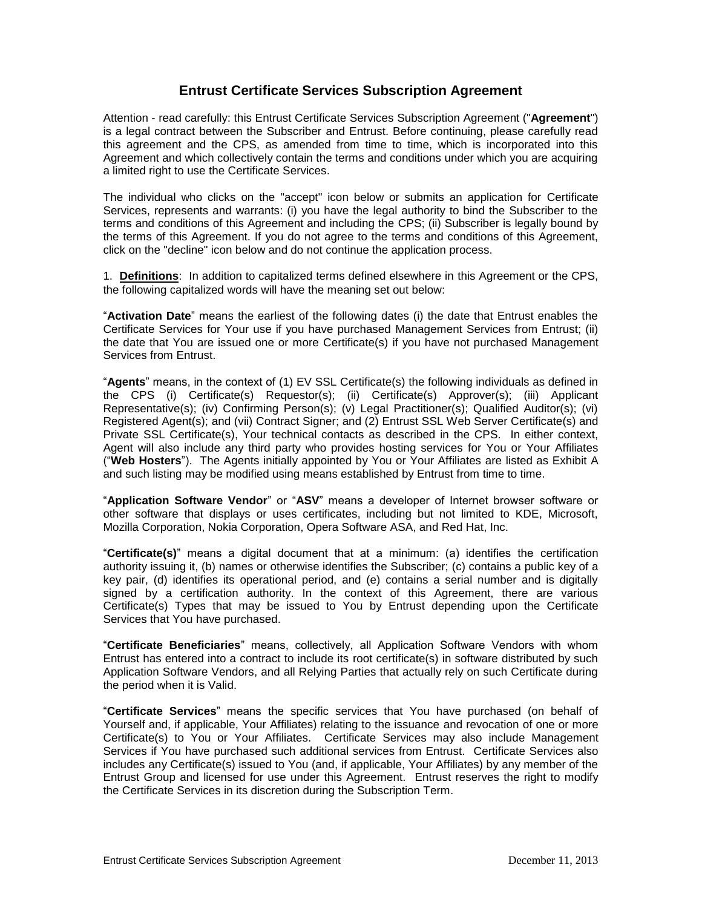# **Entrust Certificate Services Subscription Agreement**

Attention - read carefully: this Entrust Certificate Services Subscription Agreement ("**Agreement**") is a legal contract between the Subscriber and Entrust. Before continuing, please carefully read this agreement and the CPS, as amended from time to time, which is incorporated into this Agreement and which collectively contain the terms and conditions under which you are acquiring a limited right to use the Certificate Services.

The individual who clicks on the "accept" icon below or submits an application for Certificate Services, represents and warrants: (i) you have the legal authority to bind the Subscriber to the terms and conditions of this Agreement and including the CPS; (ii) Subscriber is legally bound by the terms of this Agreement. If you do not agree to the terms and conditions of this Agreement, click on the "decline" icon below and do not continue the application process.

1. **Definitions**: In addition to capitalized terms defined elsewhere in this Agreement or the CPS, the following capitalized words will have the meaning set out below:

"**Activation Date**" means the earliest of the following dates (i) the date that Entrust enables the Certificate Services for Your use if you have purchased Management Services from Entrust; (ii) the date that You are issued one or more Certificate(s) if you have not purchased Management Services from Entrust.

"**Agents**" means, in the context of (1) EV SSL Certificate(s) the following individuals as defined in the CPS (i) Certificate(s) Requestor(s); (ii) Certificate(s) Approver(s); (iii) Applicant Representative(s); (iv) Confirming Person(s); (v) Legal Practitioner(s); Qualified Auditor(s); (vi) Registered Agent(s); and (vii) Contract Signer; and (2) Entrust SSL Web Server Certificate(s) and Private SSL Certificate(s), Your technical contacts as described in the CPS. In either context, Agent will also include any third party who provides hosting services for You or Your Affiliates ("**Web Hosters**"). The Agents initially appointed by You or Your Affiliates are listed as Exhibit A and such listing may be modified using means established by Entrust from time to time.

"**Application Software Vendor**" or "**ASV**" means a developer of Internet browser software or other software that displays or uses certificates, including but not limited to KDE, Microsoft, Mozilla Corporation, Nokia Corporation, Opera Software ASA, and Red Hat, Inc.

"**Certificate(s)**" means a digital document that at a minimum: (a) identifies the certification authority issuing it, (b) names or otherwise identifies the Subscriber; (c) contains a public key of a key pair, (d) identifies its operational period, and (e) contains a serial number and is digitally signed by a certification authority. In the context of this Agreement, there are various Certificate(s) Types that may be issued to You by Entrust depending upon the Certificate Services that You have purchased.

"**Certificate Beneficiaries**" means, collectively, all Application Software Vendors with whom Entrust has entered into a contract to include its root certificate(s) in software distributed by such Application Software Vendors, and all Relying Parties that actually rely on such Certificate during the period when it is Valid.

"**Certificate Services**" means the specific services that You have purchased (on behalf of Yourself and, if applicable, Your Affiliates) relating to the issuance and revocation of one or more Certificate(s) to You or Your Affiliates. Certificate Services may also include Management Services if You have purchased such additional services from Entrust. Certificate Services also includes any Certificate(s) issued to You (and, if applicable, Your Affiliates) by any member of the Entrust Group and licensed for use under this Agreement. Entrust reserves the right to modify the Certificate Services in its discretion during the Subscription Term.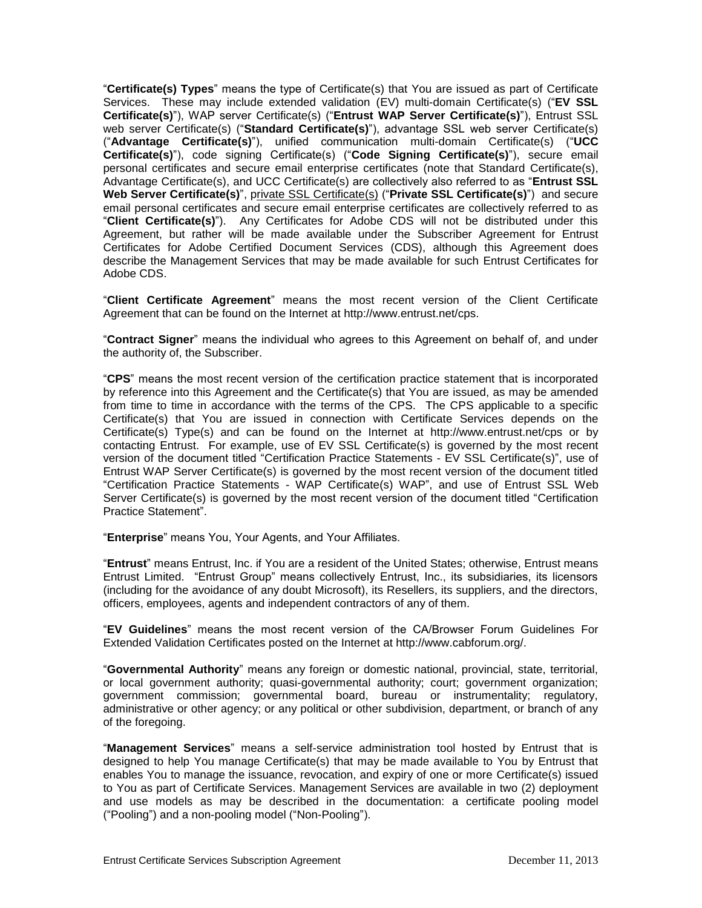"**Certificate(s) Types**" means the type of Certificate(s) that You are issued as part of Certificate Services. These may include extended validation (EV) multi-domain Certificate(s) ("**EV SSL Certificate(s)**"), WAP server Certificate(s) ("**Entrust WAP Server Certificate(s)**"), Entrust SSL web server Certificate(s) ("**Standard Certificate(s)**"), advantage SSL web server Certificate(s) ("**Advantage Certificate(s)**"), unified communication multi-domain Certificate(s) ("**UCC Certificate(s)**"), code signing Certificate(s) ("**Code Signing Certificate(s)**"), secure email personal certificates and secure email enterprise certificates (note that Standard Certificate(s), Advantage Certificate(s), and UCC Certificate(s) are collectively also referred to as "**Entrust SSL Web Server Certificate(s)**", private SSL Certificate(s) ("**Private SSL Certificate(s)**") and secure email personal certificates and secure email enterprise certificates are collectively referred to as "**Client Certificate(s)**"). Any Certificates for Adobe CDS will not be distributed under this Agreement, but rather will be made available under the Subscriber Agreement for Entrust Certificates for Adobe Certified Document Services (CDS), although this Agreement does describe the Management Services that may be made available for such Entrust Certificates for Adobe CDS.

"**Client Certificate Agreement**" means the most recent version of the Client Certificate Agreement that can be found on the Internet at http://www.entrust.net/cps.

"**Contract Signer**" means the individual who agrees to this Agreement on behalf of, and under the authority of, the Subscriber.

"**CPS**" means the most recent version of the certification practice statement that is incorporated by reference into this Agreement and the Certificate(s) that You are issued, as may be amended from time to time in accordance with the terms of the CPS. The CPS applicable to a specific Certificate(s) that You are issued in connection with Certificate Services depends on the Certificate(s) Type(s) and can be found on the Internet at http://www.entrust.net/cps or by contacting Entrust. For example, use of EV SSL Certificate(s) is governed by the most recent version of the document titled "Certification Practice Statements - EV SSL Certificate(s)", use of Entrust WAP Server Certificate(s) is governed by the most recent version of the document titled "Certification Practice Statements - WAP Certificate(s) WAP", and use of Entrust SSL Web Server Certificate(s) is governed by the most recent version of the document titled "Certification Practice Statement".

"**Enterprise**" means You, Your Agents, and Your Affiliates.

"**Entrust**" means Entrust, Inc. if You are a resident of the United States; otherwise, Entrust means Entrust Limited. "Entrust Group" means collectively Entrust, Inc., its subsidiaries, its licensors (including for the avoidance of any doubt Microsoft), its Resellers, its suppliers, and the directors, officers, employees, agents and independent contractors of any of them.

"**EV Guidelines**" means the most recent version of the CA/Browser Forum Guidelines For Extended Validation Certificates posted on the Internet at http://www.cabforum.org/.

"**Governmental Authority**" means any foreign or domestic national, provincial, state, territorial, or local government authority; quasi-governmental authority; court; government organization; government commission; governmental board, bureau or instrumentality; regulatory, administrative or other agency; or any political or other subdivision, department, or branch of any of the foregoing.

"**Management Services**" means a self-service administration tool hosted by Entrust that is designed to help You manage Certificate(s) that may be made available to You by Entrust that enables You to manage the issuance, revocation, and expiry of one or more Certificate(s) issued to You as part of Certificate Services. Management Services are available in two (2) deployment and use models as may be described in the documentation: a certificate pooling model ("Pooling") and a non-pooling model ("Non-Pooling").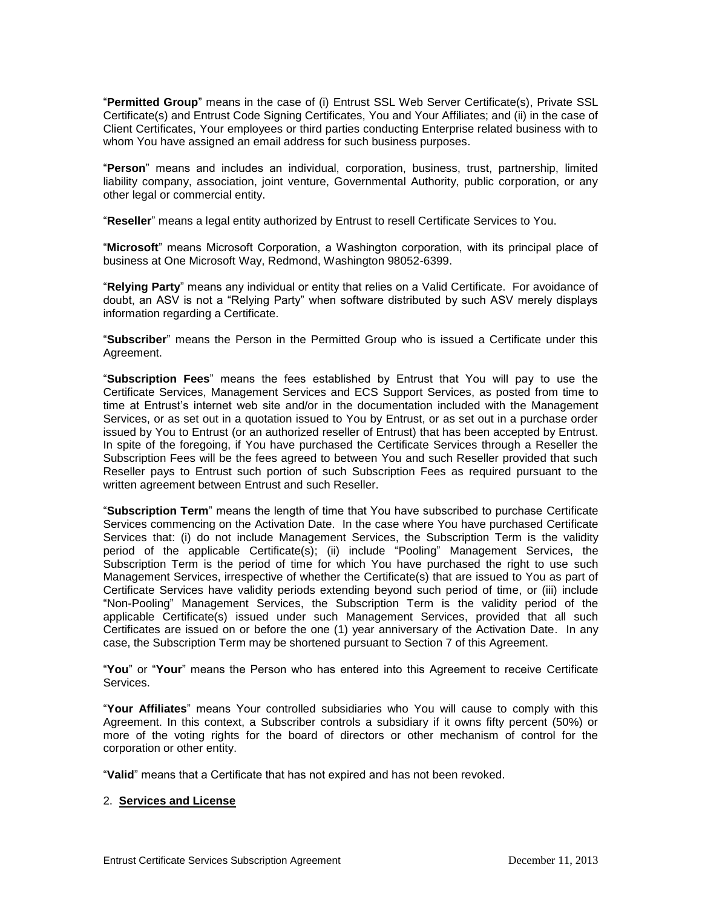"**Permitted Group**" means in the case of (i) Entrust SSL Web Server Certificate(s), Private SSL Certificate(s) and Entrust Code Signing Certificates, You and Your Affiliates; and (ii) in the case of Client Certificates, Your employees or third parties conducting Enterprise related business with to whom You have assigned an email address for such business purposes.

"**Person**" means and includes an individual, corporation, business, trust, partnership, limited liability company, association, joint venture, Governmental Authority, public corporation, or any other legal or commercial entity.

"**Reseller**" means a legal entity authorized by Entrust to resell Certificate Services to You.

"**Microsoft**" means Microsoft Corporation, a Washington corporation, with its principal place of business at One Microsoft Way, Redmond, Washington 98052-6399.

"**Relying Party**" means any individual or entity that relies on a Valid Certificate. For avoidance of doubt, an ASV is not a "Relying Party" when software distributed by such ASV merely displays information regarding a Certificate.

"**Subscriber**" means the Person in the Permitted Group who is issued a Certificate under this Agreement.

"**Subscription Fees**" means the fees established by Entrust that You will pay to use the Certificate Services, Management Services and ECS Support Services, as posted from time to time at Entrust's internet web site and/or in the documentation included with the Management Services, or as set out in a quotation issued to You by Entrust, or as set out in a purchase order issued by You to Entrust (or an authorized reseller of Entrust) that has been accepted by Entrust. In spite of the foregoing, if You have purchased the Certificate Services through a Reseller the Subscription Fees will be the fees agreed to between You and such Reseller provided that such Reseller pays to Entrust such portion of such Subscription Fees as required pursuant to the written agreement between Entrust and such Reseller.

"**Subscription Term**" means the length of time that You have subscribed to purchase Certificate Services commencing on the Activation Date. In the case where You have purchased Certificate Services that: (i) do not include Management Services, the Subscription Term is the validity period of the applicable Certificate(s); (ii) include "Pooling" Management Services, the Subscription Term is the period of time for which You have purchased the right to use such Management Services, irrespective of whether the Certificate(s) that are issued to You as part of Certificate Services have validity periods extending beyond such period of time, or (iii) include "Non-Pooling" Management Services, the Subscription Term is the validity period of the applicable Certificate(s) issued under such Management Services, provided that all such Certificates are issued on or before the one (1) year anniversary of the Activation Date. In any case, the Subscription Term may be shortened pursuant to Section 7 of this Agreement.

"**You**" or "**Your**" means the Person who has entered into this Agreement to receive Certificate **Services** 

"**Your Affiliates**" means Your controlled subsidiaries who You will cause to comply with this Agreement. In this context, a Subscriber controls a subsidiary if it owns fifty percent (50%) or more of the voting rights for the board of directors or other mechanism of control for the corporation or other entity.

"**Valid**" means that a Certificate that has not expired and has not been revoked.

### 2. **Services and License**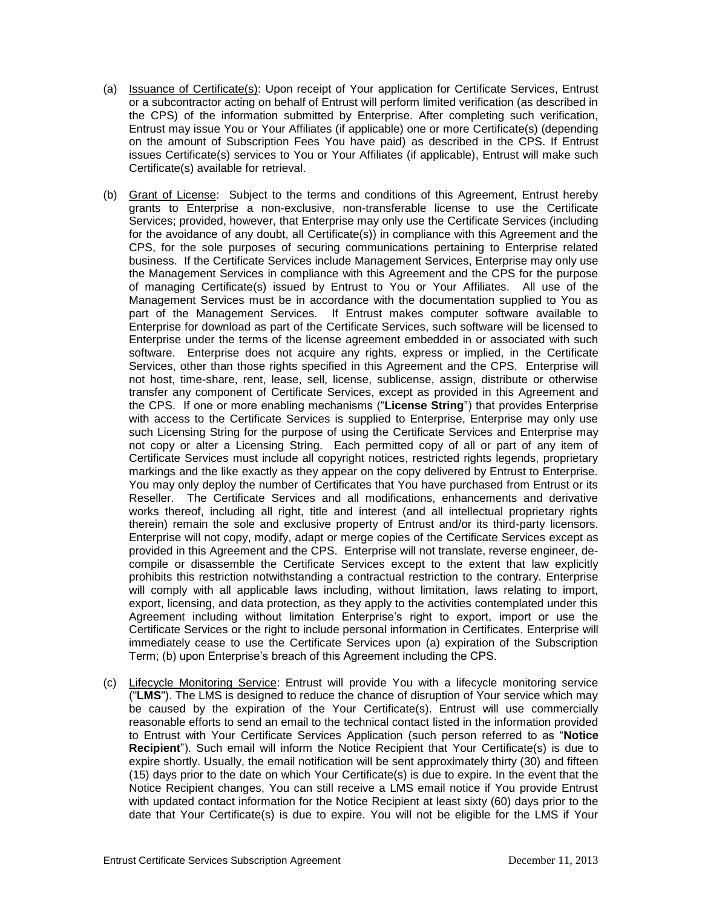- (a) Issuance of Certificate(s): Upon receipt of Your application for Certificate Services, Entrust or a subcontractor acting on behalf of Entrust will perform limited verification (as described in the CPS) of the information submitted by Enterprise. After completing such verification, Entrust may issue You or Your Affiliates (if applicable) one or more Certificate(s) (depending on the amount of Subscription Fees You have paid) as described in the CPS. If Entrust issues Certificate(s) services to You or Your Affiliates (if applicable), Entrust will make such Certificate(s) available for retrieval.
- (b) Grant of License: Subject to the terms and conditions of this Agreement, Entrust hereby grants to Enterprise a non-exclusive, non-transferable license to use the Certificate Services; provided, however, that Enterprise may only use the Certificate Services (including for the avoidance of any doubt, all Certificate(s)) in compliance with this Agreement and the CPS, for the sole purposes of securing communications pertaining to Enterprise related business. If the Certificate Services include Management Services, Enterprise may only use the Management Services in compliance with this Agreement and the CPS for the purpose of managing Certificate(s) issued by Entrust to You or Your Affiliates. All use of the Management Services must be in accordance with the documentation supplied to You as part of the Management Services. If Entrust makes computer software available to Enterprise for download as part of the Certificate Services, such software will be licensed to Enterprise under the terms of the license agreement embedded in or associated with such software. Enterprise does not acquire any rights, express or implied, in the Certificate Services, other than those rights specified in this Agreement and the CPS. Enterprise will not host, time-share, rent, lease, sell, license, sublicense, assign, distribute or otherwise transfer any component of Certificate Services, except as provided in this Agreement and the CPS. If one or more enabling mechanisms ("**License String**") that provides Enterprise with access to the Certificate Services is supplied to Enterprise, Enterprise may only use such Licensing String for the purpose of using the Certificate Services and Enterprise may not copy or alter a Licensing String. Each permitted copy of all or part of any item of Certificate Services must include all copyright notices, restricted rights legends, proprietary markings and the like exactly as they appear on the copy delivered by Entrust to Enterprise. You may only deploy the number of Certificates that You have purchased from Entrust or its Reseller. The Certificate Services and all modifications, enhancements and derivative works thereof, including all right, title and interest (and all intellectual proprietary rights therein) remain the sole and exclusive property of Entrust and/or its third-party licensors. Enterprise will not copy, modify, adapt or merge copies of the Certificate Services except as provided in this Agreement and the CPS. Enterprise will not translate, reverse engineer, decompile or disassemble the Certificate Services except to the extent that law explicitly prohibits this restriction notwithstanding a contractual restriction to the contrary. Enterprise will comply with all applicable laws including, without limitation, laws relating to import, export, licensing, and data protection, as they apply to the activities contemplated under this Agreement including without limitation Enterprise's right to export, import or use the Certificate Services or the right to include personal information in Certificates. Enterprise will immediately cease to use the Certificate Services upon (a) expiration of the Subscription Term; (b) upon Enterprise's breach of this Agreement including the CPS.
- (c) Lifecycle Monitoring Service: Entrust will provide You with a lifecycle monitoring service ("**LMS**"). The LMS is designed to reduce the chance of disruption of Your service which may be caused by the expiration of the Your Certificate(s). Entrust will use commercially reasonable efforts to send an email to the technical contact listed in the information provided to Entrust with Your Certificate Services Application (such person referred to as "**Notice Recipient**"). Such email will inform the Notice Recipient that Your Certificate(s) is due to expire shortly. Usually, the email notification will be sent approximately thirty (30) and fifteen (15) days prior to the date on which Your Certificate(s) is due to expire. In the event that the Notice Recipient changes, You can still receive a LMS email notice if You provide Entrust with updated contact information for the Notice Recipient at least sixty (60) days prior to the date that Your Certificate(s) is due to expire. You will not be eligible for the LMS if Your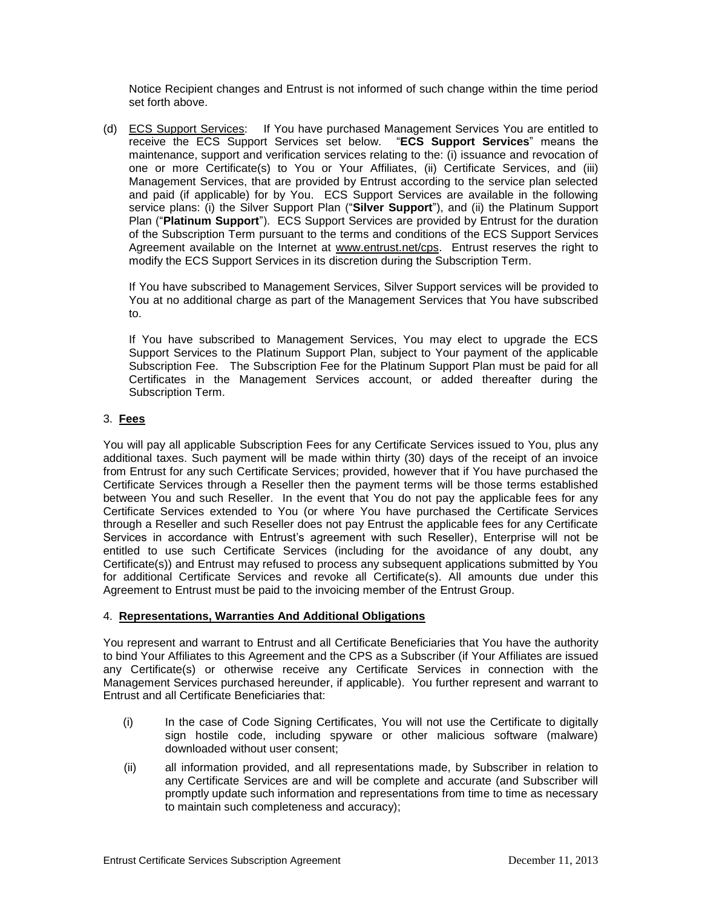Notice Recipient changes and Entrust is not informed of such change within the time period set forth above.

(d) ECS Support Services: If You have purchased Management Services You are entitled to receive the ECS Support Services set below. "**ECS Support Services**" means the maintenance, support and verification services relating to the: (i) issuance and revocation of one or more Certificate(s) to You or Your Affiliates, (ii) Certificate Services, and (iii) Management Services, that are provided by Entrust according to the service plan selected and paid (if applicable) for by You. ECS Support Services are available in the following service plans: (i) the Silver Support Plan ("**Silver Support**"), and (ii) the Platinum Support Plan ("**Platinum Support**"). ECS Support Services are provided by Entrust for the duration of the Subscription Term pursuant to the terms and conditions of the ECS Support Services Agreement available on the Internet at www.entrust.net/cps. Entrust reserves the right to modify the ECS Support Services in its discretion during the Subscription Term.

If You have subscribed to Management Services, Silver Support services will be provided to You at no additional charge as part of the Management Services that You have subscribed to.

If You have subscribed to Management Services, You may elect to upgrade the ECS Support Services to the Platinum Support Plan, subject to Your payment of the applicable Subscription Fee. The Subscription Fee for the Platinum Support Plan must be paid for all Certificates in the Management Services account, or added thereafter during the Subscription Term.

## 3. **Fees**

You will pay all applicable Subscription Fees for any Certificate Services issued to You, plus any additional taxes. Such payment will be made within thirty (30) days of the receipt of an invoice from Entrust for any such Certificate Services; provided, however that if You have purchased the Certificate Services through a Reseller then the payment terms will be those terms established between You and such Reseller. In the event that You do not pay the applicable fees for any Certificate Services extended to You (or where You have purchased the Certificate Services through a Reseller and such Reseller does not pay Entrust the applicable fees for any Certificate Services in accordance with Entrust's agreement with such Reseller), Enterprise will not be entitled to use such Certificate Services (including for the avoidance of any doubt, any Certificate(s)) and Entrust may refused to process any subsequent applications submitted by You for additional Certificate Services and revoke all Certificate(s). All amounts due under this Agreement to Entrust must be paid to the invoicing member of the Entrust Group.

## 4. **Representations, Warranties And Additional Obligations**

You represent and warrant to Entrust and all Certificate Beneficiaries that You have the authority to bind Your Affiliates to this Agreement and the CPS as a Subscriber (if Your Affiliates are issued any Certificate(s) or otherwise receive any Certificate Services in connection with the Management Services purchased hereunder, if applicable). You further represent and warrant to Entrust and all Certificate Beneficiaries that:

- (i) In the case of Code Signing Certificates, You will not use the Certificate to digitally sign hostile code, including spyware or other malicious software (malware) downloaded without user consent;
- (ii) all information provided, and all representations made, by Subscriber in relation to any Certificate Services are and will be complete and accurate (and Subscriber will promptly update such information and representations from time to time as necessary to maintain such completeness and accuracy);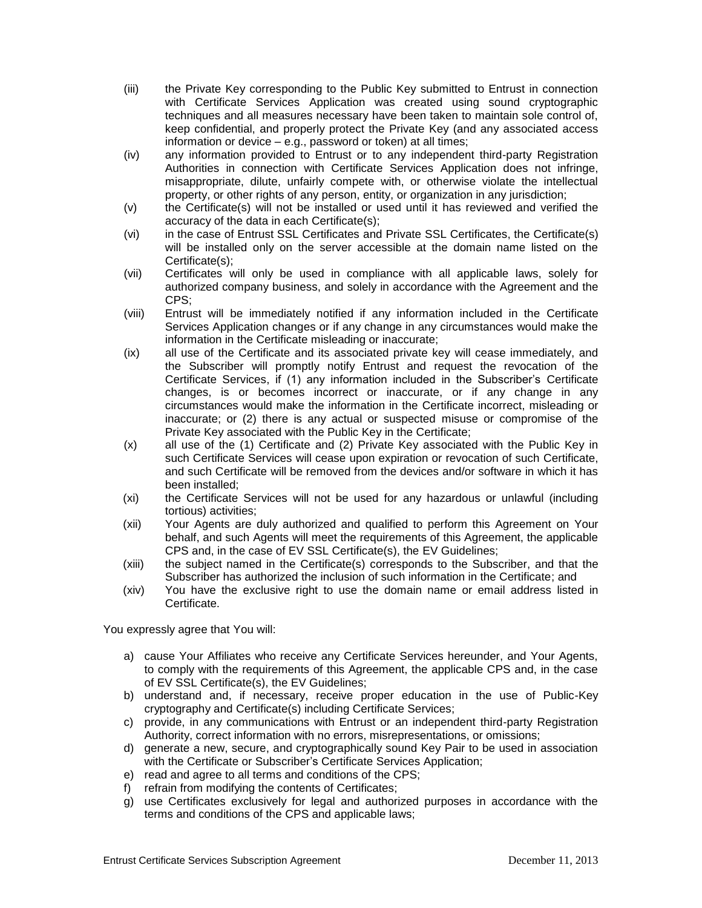- (iii) the Private Key corresponding to the Public Key submitted to Entrust in connection with Certificate Services Application was created using sound cryptographic techniques and all measures necessary have been taken to maintain sole control of, keep confidential, and properly protect the Private Key (and any associated access information or device – e.g., password or token) at all times;
- (iv) any information provided to Entrust or to any independent third-party Registration Authorities in connection with Certificate Services Application does not infringe, misappropriate, dilute, unfairly compete with, or otherwise violate the intellectual property, or other rights of any person, entity, or organization in any jurisdiction;
- (v) the Certificate(s) will not be installed or used until it has reviewed and verified the accuracy of the data in each Certificate(s);
- (vi) in the case of Entrust SSL Certificates and Private SSL Certificates, the Certificate(s) will be installed only on the server accessible at the domain name listed on the Certificate(s);
- (vii) Certificates will only be used in compliance with all applicable laws, solely for authorized company business, and solely in accordance with the Agreement and the CPS;
- (viii) Entrust will be immediately notified if any information included in the Certificate Services Application changes or if any change in any circumstances would make the information in the Certificate misleading or inaccurate;
- (ix) all use of the Certificate and its associated private key will cease immediately, and the Subscriber will promptly notify Entrust and request the revocation of the Certificate Services, if (1) any information included in the Subscriber's Certificate changes, is or becomes incorrect or inaccurate, or if any change in any circumstances would make the information in the Certificate incorrect, misleading or inaccurate; or (2) there is any actual or suspected misuse or compromise of the Private Key associated with the Public Key in the Certificate;
- (x) all use of the (1) Certificate and (2) Private Key associated with the Public Key in such Certificate Services will cease upon expiration or revocation of such Certificate, and such Certificate will be removed from the devices and/or software in which it has been installed;
- (xi) the Certificate Services will not be used for any hazardous or unlawful (including tortious) activities;
- (xii) Your Agents are duly authorized and qualified to perform this Agreement on Your behalf, and such Agents will meet the requirements of this Agreement, the applicable CPS and, in the case of EV SSL Certificate(s), the EV Guidelines;
- (xiii) the subject named in the Certificate(s) corresponds to the Subscriber, and that the Subscriber has authorized the inclusion of such information in the Certificate; and
- (xiv) You have the exclusive right to use the domain name or email address listed in **Certificate**

You expressly agree that You will:

- a) cause Your Affiliates who receive any Certificate Services hereunder, and Your Agents, to comply with the requirements of this Agreement, the applicable CPS and, in the case of EV SSL Certificate(s), the EV Guidelines;
- b) understand and, if necessary, receive proper education in the use of Public-Key cryptography and Certificate(s) including Certificate Services;
- c) provide, in any communications with Entrust or an independent third-party Registration Authority, correct information with no errors, misrepresentations, or omissions;
- d) generate a new, secure, and cryptographically sound Key Pair to be used in association with the Certificate or Subscriber's Certificate Services Application;
- e) read and agree to all terms and conditions of the CPS;
- f) refrain from modifying the contents of Certificates;
- g) use Certificates exclusively for legal and authorized purposes in accordance with the terms and conditions of the CPS and applicable laws;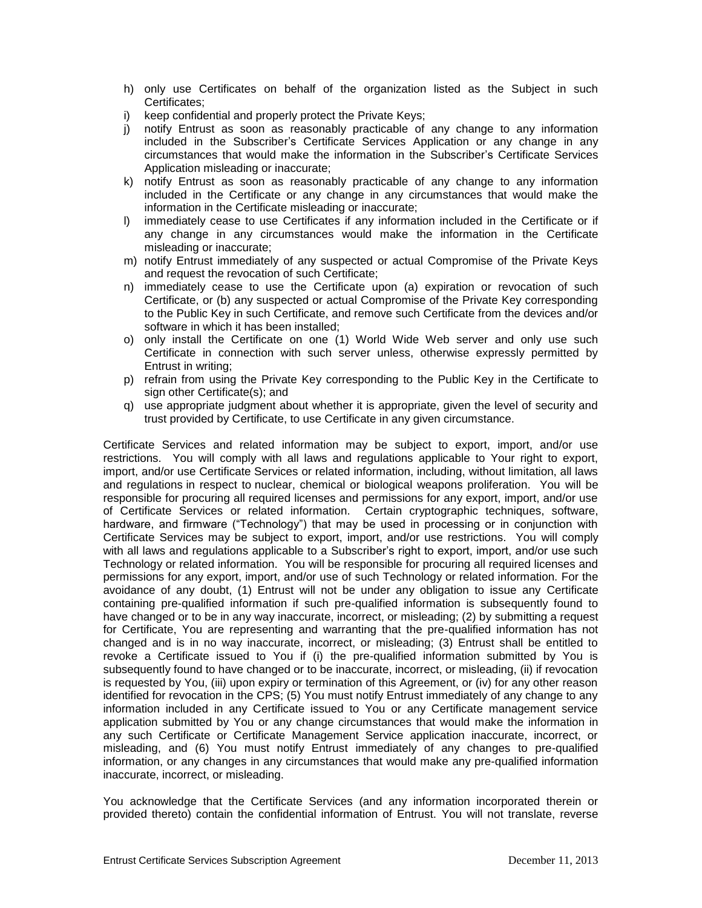- h) only use Certificates on behalf of the organization listed as the Subject in such Certificates;
- i) keep confidential and properly protect the Private Keys;
- j) notify Entrust as soon as reasonably practicable of any change to any information included in the Subscriber's Certificate Services Application or any change in any circumstances that would make the information in the Subscriber's Certificate Services Application misleading or inaccurate;
- k) notify Entrust as soon as reasonably practicable of any change to any information included in the Certificate or any change in any circumstances that would make the information in the Certificate misleading or inaccurate;
- l) immediately cease to use Certificates if any information included in the Certificate or if any change in any circumstances would make the information in the Certificate misleading or inaccurate;
- m) notify Entrust immediately of any suspected or actual Compromise of the Private Keys and request the revocation of such Certificate;
- n) immediately cease to use the Certificate upon (a) expiration or revocation of such Certificate, or (b) any suspected or actual Compromise of the Private Key corresponding to the Public Key in such Certificate, and remove such Certificate from the devices and/or software in which it has been installed;
- o) only install the Certificate on one (1) World Wide Web server and only use such Certificate in connection with such server unless, otherwise expressly permitted by Entrust in writing;
- p) refrain from using the Private Key corresponding to the Public Key in the Certificate to sign other Certificate(s); and
- q) use appropriate judgment about whether it is appropriate, given the level of security and trust provided by Certificate, to use Certificate in any given circumstance.

Certificate Services and related information may be subject to export, import, and/or use restrictions. You will comply with all laws and regulations applicable to Your right to export, import, and/or use Certificate Services or related information, including, without limitation, all laws and regulations in respect to nuclear, chemical or biological weapons proliferation. You will be responsible for procuring all required licenses and permissions for any export, import, and/or use of Certificate Services or related information. Certain cryptographic techniques, software, hardware, and firmware ("Technology") that may be used in processing or in conjunction with Certificate Services may be subject to export, import, and/or use restrictions. You will comply with all laws and regulations applicable to a Subscriber's right to export, import, and/or use such Technology or related information. You will be responsible for procuring all required licenses and permissions for any export, import, and/or use of such Technology or related information. For the avoidance of any doubt, (1) Entrust will not be under any obligation to issue any Certificate containing pre-qualified information if such pre-qualified information is subsequently found to have changed or to be in any way inaccurate, incorrect, or misleading; (2) by submitting a request for Certificate, You are representing and warranting that the pre-qualified information has not changed and is in no way inaccurate, incorrect, or misleading; (3) Entrust shall be entitled to revoke a Certificate issued to You if (i) the pre-qualified information submitted by You is subsequently found to have changed or to be inaccurate, incorrect, or misleading, (ii) if revocation is requested by You, (iii) upon expiry or termination of this Agreement, or (iv) for any other reason identified for revocation in the CPS; (5) You must notify Entrust immediately of any change to any information included in any Certificate issued to You or any Certificate management service application submitted by You or any change circumstances that would make the information in any such Certificate or Certificate Management Service application inaccurate, incorrect, or misleading, and (6) You must notify Entrust immediately of any changes to pre-qualified information, or any changes in any circumstances that would make any pre-qualified information inaccurate, incorrect, or misleading.

You acknowledge that the Certificate Services (and any information incorporated therein or provided thereto) contain the confidential information of Entrust. You will not translate, reverse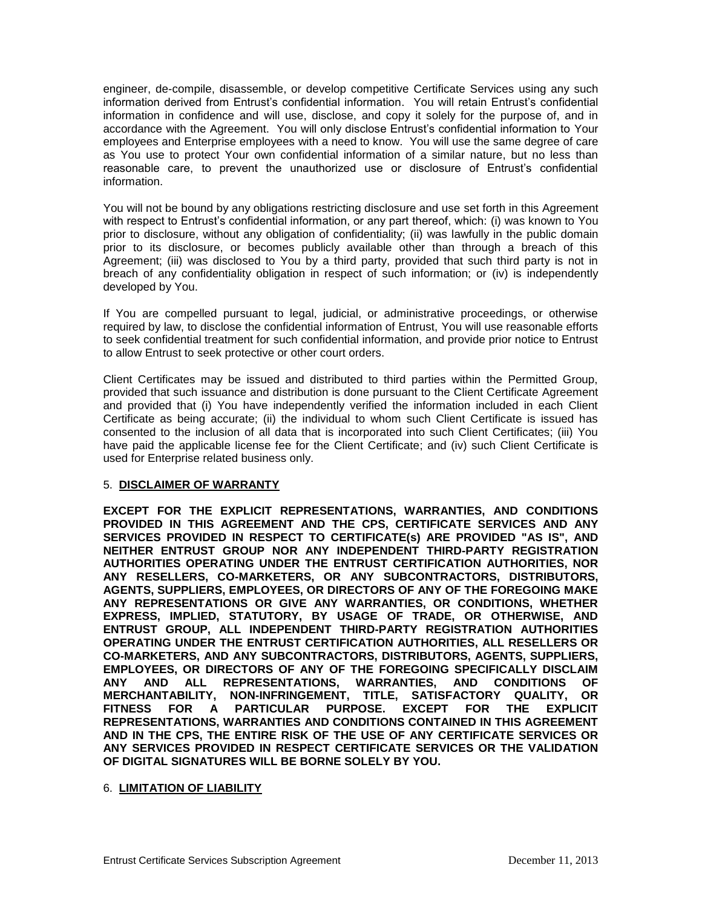engineer, de-compile, disassemble, or develop competitive Certificate Services using any such information derived from Entrust's confidential information. You will retain Entrust's confidential information in confidence and will use, disclose, and copy it solely for the purpose of, and in accordance with the Agreement. You will only disclose Entrust's confidential information to Your employees and Enterprise employees with a need to know. You will use the same degree of care as You use to protect Your own confidential information of a similar nature, but no less than reasonable care, to prevent the unauthorized use or disclosure of Entrust's confidential information.

You will not be bound by any obligations restricting disclosure and use set forth in this Agreement with respect to Entrust's confidential information, or any part thereof, which: (i) was known to You prior to disclosure, without any obligation of confidentiality; (ii) was lawfully in the public domain prior to its disclosure, or becomes publicly available other than through a breach of this Agreement; (iii) was disclosed to You by a third party, provided that such third party is not in breach of any confidentiality obligation in respect of such information; or (iv) is independently developed by You.

If You are compelled pursuant to legal, judicial, or administrative proceedings, or otherwise required by law, to disclose the confidential information of Entrust, You will use reasonable efforts to seek confidential treatment for such confidential information, and provide prior notice to Entrust to allow Entrust to seek protective or other court orders.

Client Certificates may be issued and distributed to third parties within the Permitted Group, provided that such issuance and distribution is done pursuant to the Client Certificate Agreement and provided that (i) You have independently verified the information included in each Client Certificate as being accurate; (ii) the individual to whom such Client Certificate is issued has consented to the inclusion of all data that is incorporated into such Client Certificates; (iii) You have paid the applicable license fee for the Client Certificate; and (iv) such Client Certificate is used for Enterprise related business only.

#### 5. **DISCLAIMER OF WARRANTY**

**EXCEPT FOR THE EXPLICIT REPRESENTATIONS, WARRANTIES, AND CONDITIONS PROVIDED IN THIS AGREEMENT AND THE CPS, CERTIFICATE SERVICES AND ANY SERVICES PROVIDED IN RESPECT TO CERTIFICATE(s) ARE PROVIDED "AS IS", AND NEITHER ENTRUST GROUP NOR ANY INDEPENDENT THIRD-PARTY REGISTRATION AUTHORITIES OPERATING UNDER THE ENTRUST CERTIFICATION AUTHORITIES, NOR ANY RESELLERS, CO-MARKETERS, OR ANY SUBCONTRACTORS, DISTRIBUTORS, AGENTS, SUPPLIERS, EMPLOYEES, OR DIRECTORS OF ANY OF THE FOREGOING MAKE ANY REPRESENTATIONS OR GIVE ANY WARRANTIES, OR CONDITIONS, WHETHER EXPRESS, IMPLIED, STATUTORY, BY USAGE OF TRADE, OR OTHERWISE, AND ENTRUST GROUP, ALL INDEPENDENT THIRD-PARTY REGISTRATION AUTHORITIES OPERATING UNDER THE ENTRUST CERTIFICATION AUTHORITIES, ALL RESELLERS OR CO-MARKETERS, AND ANY SUBCONTRACTORS, DISTRIBUTORS, AGENTS, SUPPLIERS, EMPLOYEES, OR DIRECTORS OF ANY OF THE FOREGOING SPECIFICALLY DISCLAIM ANY AND ALL REPRESENTATIONS, WARRANTIES, AND CONDITIONS OF MERCHANTABILITY, NON-INFRINGEMENT, TITLE, SATISFACTORY QUALITY, OR FITNESS FOR A PARTICULAR PURPOSE. EXCEPT FOR THE EXPLICIT REPRESENTATIONS, WARRANTIES AND CONDITIONS CONTAINED IN THIS AGREEMENT AND IN THE CPS, THE ENTIRE RISK OF THE USE OF ANY CERTIFICATE SERVICES OR ANY SERVICES PROVIDED IN RESPECT CERTIFICATE SERVICES OR THE VALIDATION OF DIGITAL SIGNATURES WILL BE BORNE SOLELY BY YOU.**

#### 6. **LIMITATION OF LIABILITY**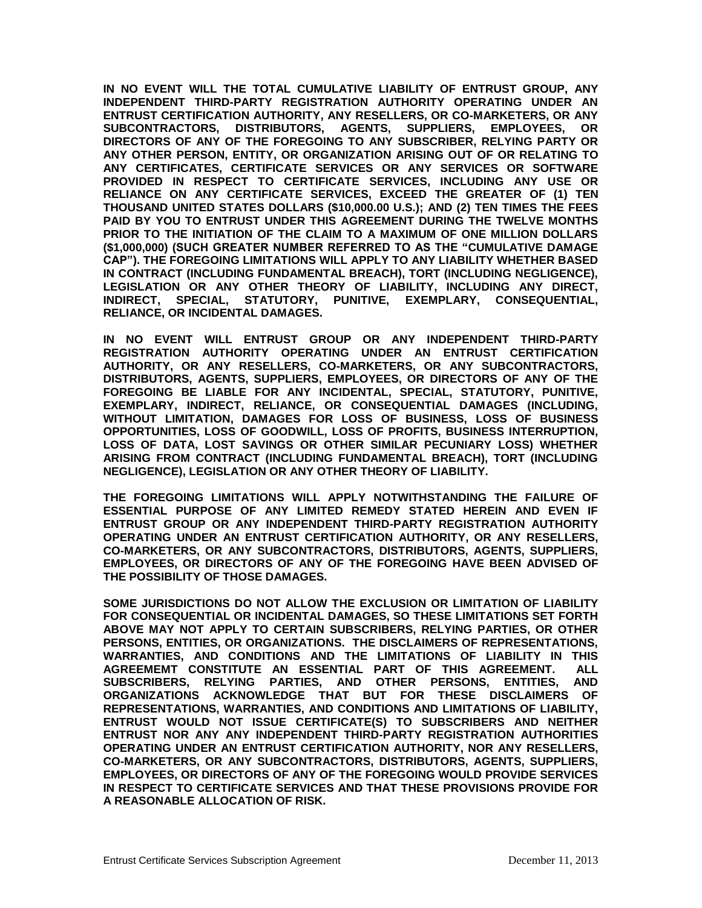**IN NO EVENT WILL THE TOTAL CUMULATIVE LIABILITY OF ENTRUST GROUP, ANY INDEPENDENT THIRD-PARTY REGISTRATION AUTHORITY OPERATING UNDER AN ENTRUST CERTIFICATION AUTHORITY, ANY RESELLERS, OR CO-MARKETERS, OR ANY SUBCONTRACTORS, DISTRIBUTORS, AGENTS, SUPPLIERS, EMPLOYEES, OR DIRECTORS OF ANY OF THE FOREGOING TO ANY SUBSCRIBER, RELYING PARTY OR ANY OTHER PERSON, ENTITY, OR ORGANIZATION ARISING OUT OF OR RELATING TO ANY CERTIFICATES, CERTIFICATE SERVICES OR ANY SERVICES OR SOFTWARE PROVIDED IN RESPECT TO CERTIFICATE SERVICES, INCLUDING ANY USE OR RELIANCE ON ANY CERTIFICATE SERVICES, EXCEED THE GREATER OF (1) TEN THOUSAND UNITED STATES DOLLARS (\$10,000.00 U.S.); AND (2) TEN TIMES THE FEES PAID BY YOU TO ENTRUST UNDER THIS AGREEMENT DURING THE TWELVE MONTHS PRIOR TO THE INITIATION OF THE CLAIM TO A MAXIMUM OF ONE MILLION DOLLARS (\$1,000,000) (SUCH GREATER NUMBER REFERRED TO AS THE "CUMULATIVE DAMAGE CAP"). THE FOREGOING LIMITATIONS WILL APPLY TO ANY LIABILITY WHETHER BASED IN CONTRACT (INCLUDING FUNDAMENTAL BREACH), TORT (INCLUDING NEGLIGENCE), LEGISLATION OR ANY OTHER THEORY OF LIABILITY, INCLUDING ANY DIRECT, INDIRECT, SPECIAL, STATUTORY, PUNITIVE, EXEMPLARY, CONSEQUENTIAL, RELIANCE, OR INCIDENTAL DAMAGES.**

**IN NO EVENT WILL ENTRUST GROUP OR ANY INDEPENDENT THIRD-PARTY REGISTRATION AUTHORITY OPERATING UNDER AN ENTRUST CERTIFICATION AUTHORITY, OR ANY RESELLERS, CO-MARKETERS, OR ANY SUBCONTRACTORS, DISTRIBUTORS, AGENTS, SUPPLIERS, EMPLOYEES, OR DIRECTORS OF ANY OF THE FOREGOING BE LIABLE FOR ANY INCIDENTAL, SPECIAL, STATUTORY, PUNITIVE, EXEMPLARY, INDIRECT, RELIANCE, OR CONSEQUENTIAL DAMAGES (INCLUDING, WITHOUT LIMITATION, DAMAGES FOR LOSS OF BUSINESS, LOSS OF BUSINESS OPPORTUNITIES, LOSS OF GOODWILL, LOSS OF PROFITS, BUSINESS INTERRUPTION, LOSS OF DATA, LOST SAVINGS OR OTHER SIMILAR PECUNIARY LOSS) WHETHER ARISING FROM CONTRACT (INCLUDING FUNDAMENTAL BREACH), TORT (INCLUDING NEGLIGENCE), LEGISLATION OR ANY OTHER THEORY OF LIABILITY.** 

**THE FOREGOING LIMITATIONS WILL APPLY NOTWITHSTANDING THE FAILURE OF ESSENTIAL PURPOSE OF ANY LIMITED REMEDY STATED HEREIN AND EVEN IF ENTRUST GROUP OR ANY INDEPENDENT THIRD-PARTY REGISTRATION AUTHORITY OPERATING UNDER AN ENTRUST CERTIFICATION AUTHORITY, OR ANY RESELLERS, CO-MARKETERS, OR ANY SUBCONTRACTORS, DISTRIBUTORS, AGENTS, SUPPLIERS, EMPLOYEES, OR DIRECTORS OF ANY OF THE FOREGOING HAVE BEEN ADVISED OF THE POSSIBILITY OF THOSE DAMAGES.**

**SOME JURISDICTIONS DO NOT ALLOW THE EXCLUSION OR LIMITATION OF LIABILITY FOR CONSEQUENTIAL OR INCIDENTAL DAMAGES, SO THESE LIMITATIONS SET FORTH ABOVE MAY NOT APPLY TO CERTAIN SUBSCRIBERS, RELYING PARTIES, OR OTHER PERSONS, ENTITIES, OR ORGANIZATIONS. THE DISCLAIMERS OF REPRESENTATIONS, WARRANTIES, AND CONDITIONS AND THE LIMITATIONS OF LIABILITY IN THIS AGREEMEMT CONSTITUTE AN ESSENTIAL PART OF THIS AGREEMENT. ALL SUBSCRIBERS, RELYING PARTIES, AND OTHER PERSONS, ENTITIES, AND ORGANIZATIONS ACKNOWLEDGE THAT BUT FOR THESE DISCLAIMERS OF REPRESENTATIONS, WARRANTIES, AND CONDITIONS AND LIMITATIONS OF LIABILITY, ENTRUST WOULD NOT ISSUE CERTIFICATE(S) TO SUBSCRIBERS AND NEITHER ENTRUST NOR ANY ANY INDEPENDENT THIRD-PARTY REGISTRATION AUTHORITIES OPERATING UNDER AN ENTRUST CERTIFICATION AUTHORITY, NOR ANY RESELLERS, CO-MARKETERS, OR ANY SUBCONTRACTORS, DISTRIBUTORS, AGENTS, SUPPLIERS, EMPLOYEES, OR DIRECTORS OF ANY OF THE FOREGOING WOULD PROVIDE SERVICES IN RESPECT TO CERTIFICATE SERVICES AND THAT THESE PROVISIONS PROVIDE FOR A REASONABLE ALLOCATION OF RISK.**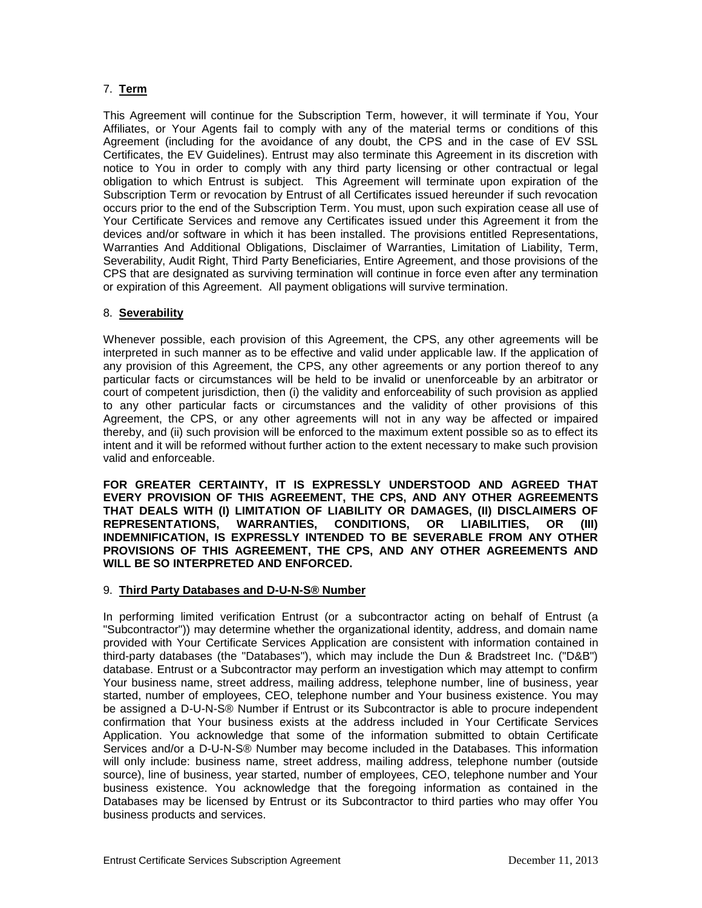## 7. **Term**

This Agreement will continue for the Subscription Term, however, it will terminate if You, Your Affiliates, or Your Agents fail to comply with any of the material terms or conditions of this Agreement (including for the avoidance of any doubt, the CPS and in the case of EV SSL Certificates, the EV Guidelines). Entrust may also terminate this Agreement in its discretion with notice to You in order to comply with any third party licensing or other contractual or legal obligation to which Entrust is subject. This Agreement will terminate upon expiration of the Subscription Term or revocation by Entrust of all Certificates issued hereunder if such revocation occurs prior to the end of the Subscription Term. You must, upon such expiration cease all use of Your Certificate Services and remove any Certificates issued under this Agreement it from the devices and/or software in which it has been installed. The provisions entitled Representations, Warranties And Additional Obligations, Disclaimer of Warranties, Limitation of Liability, Term, Severability, Audit Right, Third Party Beneficiaries, Entire Agreement, and those provisions of the CPS that are designated as surviving termination will continue in force even after any termination or expiration of this Agreement. All payment obligations will survive termination.

### 8. **Severability**

Whenever possible, each provision of this Agreement, the CPS, any other agreements will be interpreted in such manner as to be effective and valid under applicable law. If the application of any provision of this Agreement, the CPS, any other agreements or any portion thereof to any particular facts or circumstances will be held to be invalid or unenforceable by an arbitrator or court of competent jurisdiction, then (i) the validity and enforceability of such provision as applied to any other particular facts or circumstances and the validity of other provisions of this Agreement, the CPS, or any other agreements will not in any way be affected or impaired thereby, and (ii) such provision will be enforced to the maximum extent possible so as to effect its intent and it will be reformed without further action to the extent necessary to make such provision valid and enforceable.

**FOR GREATER CERTAINTY, IT IS EXPRESSLY UNDERSTOOD AND AGREED THAT EVERY PROVISION OF THIS AGREEMENT, THE CPS, AND ANY OTHER AGREEMENTS THAT DEALS WITH (I) LIMITATION OF LIABILITY OR DAMAGES, (II) DISCLAIMERS OF REPRESENTATIONS, WARRANTIES, CONDITIONS, OR LIABILITIES, OR (III) INDEMNIFICATION, IS EXPRESSLY INTENDED TO BE SEVERABLE FROM ANY OTHER PROVISIONS OF THIS AGREEMENT, THE CPS, AND ANY OTHER AGREEMENTS AND WILL BE SO INTERPRETED AND ENFORCED.**

#### 9. **Third Party Databases and D-U-N-S® Number**

In performing limited verification Entrust (or a subcontractor acting on behalf of Entrust (a "Subcontractor")) may determine whether the organizational identity, address, and domain name provided with Your Certificate Services Application are consistent with information contained in third-party databases (the "Databases"), which may include the Dun & Bradstreet Inc. ("D&B") database. Entrust or a Subcontractor may perform an investigation which may attempt to confirm Your business name, street address, mailing address, telephone number, line of business, year started, number of employees, CEO, telephone number and Your business existence. You may be assigned a D-U-N-S® Number if Entrust or its Subcontractor is able to procure independent confirmation that Your business exists at the address included in Your Certificate Services Application. You acknowledge that some of the information submitted to obtain Certificate Services and/or a D-U-N-S® Number may become included in the Databases. This information will only include: business name, street address, mailing address, telephone number (outside source), line of business, year started, number of employees, CEO, telephone number and Your business existence. You acknowledge that the foregoing information as contained in the Databases may be licensed by Entrust or its Subcontractor to third parties who may offer You business products and services.